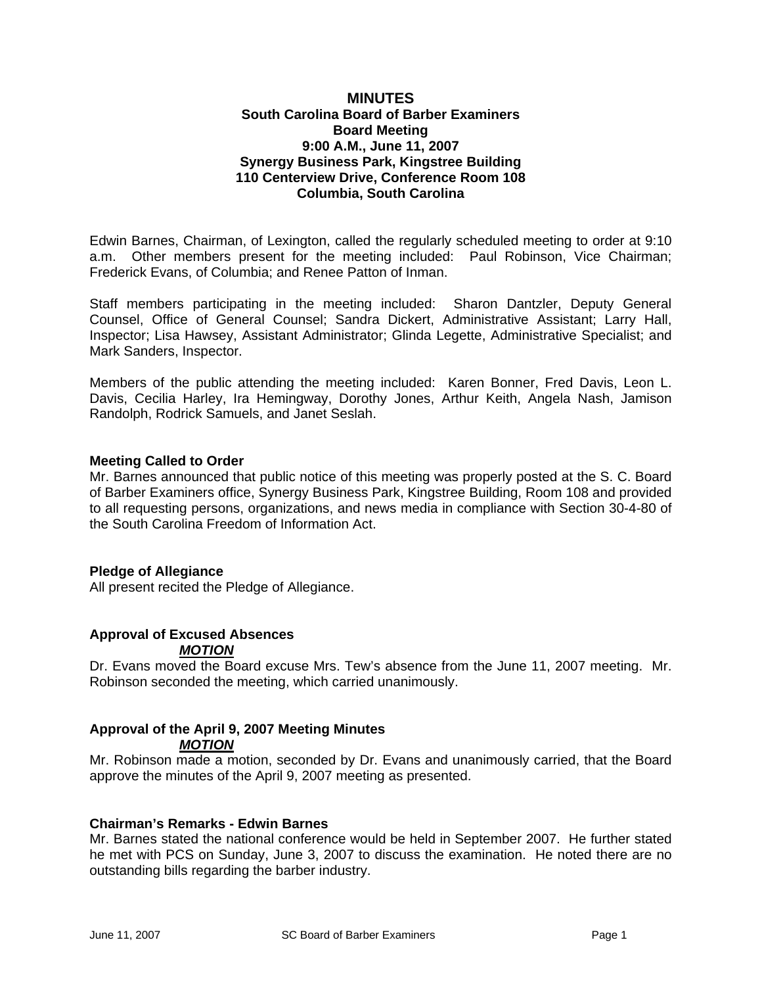#### **MINUTES South Carolina Board of Barber Examiners Board Meeting 9:00 A.M., June 11, 2007 Synergy Business Park, Kingstree Building 110 Centerview Drive, Conference Room 108 Columbia, South Carolina**

Edwin Barnes, Chairman, of Lexington, called the regularly scheduled meeting to order at 9:10 a.m. Other members present for the meeting included: Paul Robinson, Vice Chairman; Frederick Evans, of Columbia; and Renee Patton of Inman.

Staff members participating in the meeting included: Sharon Dantzler, Deputy General Counsel, Office of General Counsel; Sandra Dickert, Administrative Assistant; Larry Hall, Inspector; Lisa Hawsey, Assistant Administrator; Glinda Legette, Administrative Specialist; and Mark Sanders, Inspector.

Members of the public attending the meeting included: Karen Bonner, Fred Davis, Leon L. Davis, Cecilia Harley, Ira Hemingway, Dorothy Jones, Arthur Keith, Angela Nash, Jamison Randolph, Rodrick Samuels, and Janet Seslah.

#### **Meeting Called to Order**

Mr. Barnes announced that public notice of this meeting was properly posted at the S. C. Board of Barber Examiners office, Synergy Business Park, Kingstree Building, Room 108 and provided to all requesting persons, organizations, and news media in compliance with Section 30-4-80 of the South Carolina Freedom of Information Act.

#### **Pledge of Allegiance**

All present recited the Pledge of Allegiance.

#### **Approval of Excused Absences**  *MOTION*

Dr. Evans moved the Board excuse Mrs. Tew's absence from the June 11, 2007 meeting. Mr. Robinson seconded the meeting, which carried unanimously.

## **Approval of the April 9, 2007 Meeting Minutes**  *MOTION*

Mr. Robinson made a motion, seconded by Dr. Evans and unanimously carried, that the Board approve the minutes of the April 9, 2007 meeting as presented.

#### **Chairman's Remarks - Edwin Barnes**

Mr. Barnes stated the national conference would be held in September 2007. He further stated he met with PCS on Sunday, June 3, 2007 to discuss the examination. He noted there are no outstanding bills regarding the barber industry.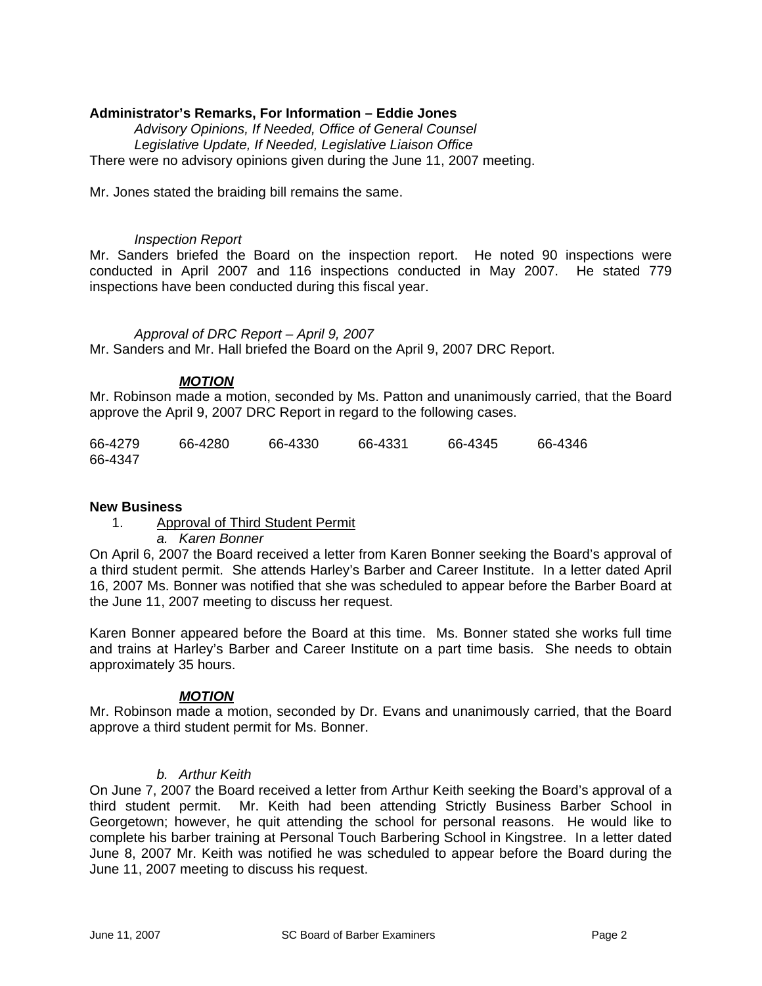## **Administrator's Remarks, For Information – Eddie Jones**

*Advisory Opinions, If Needed, Office of General Counsel Legislative Update, If Needed, Legislative Liaison Office*  There were no advisory opinions given during the June 11, 2007 meeting.

Mr. Jones stated the braiding bill remains the same.

#### *Inspection Report*

Mr. Sanders briefed the Board on the inspection report. He noted 90 inspections were conducted in April 2007 and 116 inspections conducted in May 2007. He stated 779 inspections have been conducted during this fiscal year.

 *Approval of DRC Report – April 9, 2007* 

Mr. Sanders and Mr. Hall briefed the Board on the April 9, 2007 DRC Report.

## *MOTION*

Mr. Robinson made a motion, seconded by Ms. Patton and unanimously carried, that the Board approve the April 9, 2007 DRC Report in regard to the following cases.

| 66-4279 | 66-4280 | 66-4330 | 66-4331 | 66-4345 | 66-4346 |
|---------|---------|---------|---------|---------|---------|
| 66-4347 |         |         |         |         |         |

#### **New Business**

1. Approval of Third Student Permit

*a. Karen Bonner* 

On April 6, 2007 the Board received a letter from Karen Bonner seeking the Board's approval of a third student permit. She attends Harley's Barber and Career Institute. In a letter dated April 16, 2007 Ms. Bonner was notified that she was scheduled to appear before the Barber Board at the June 11, 2007 meeting to discuss her request.

Karen Bonner appeared before the Board at this time. Ms. Bonner stated she works full time and trains at Harley's Barber and Career Institute on a part time basis. She needs to obtain approximately 35 hours.

#### *MOTION*

Mr. Robinson made a motion, seconded by Dr. Evans and unanimously carried, that the Board approve a third student permit for Ms. Bonner.

#### *b. Arthur Keith*

On June 7, 2007 the Board received a letter from Arthur Keith seeking the Board's approval of a third student permit. Mr. Keith had been attending Strictly Business Barber School in Georgetown; however, he quit attending the school for personal reasons. He would like to complete his barber training at Personal Touch Barbering School in Kingstree. In a letter dated June 8, 2007 Mr. Keith was notified he was scheduled to appear before the Board during the June 11, 2007 meeting to discuss his request.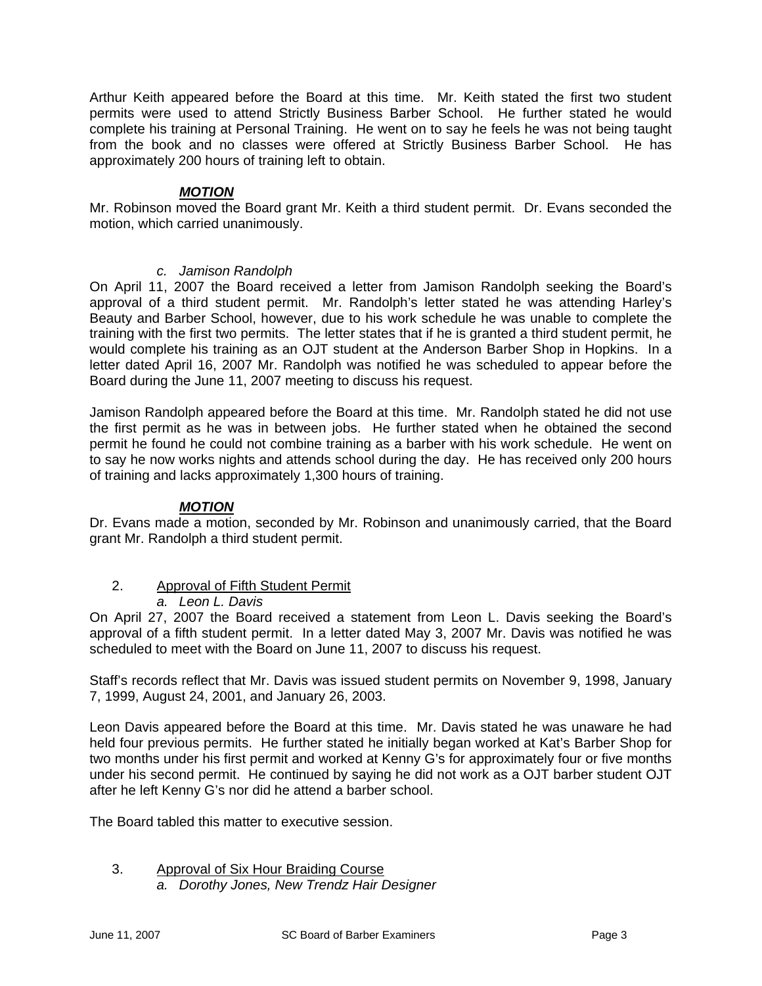Arthur Keith appeared before the Board at this time. Mr. Keith stated the first two student permits were used to attend Strictly Business Barber School. He further stated he would complete his training at Personal Training. He went on to say he feels he was not being taught from the book and no classes were offered at Strictly Business Barber School. He has approximately 200 hours of training left to obtain.

## *MOTION*

Mr. Robinson moved the Board grant Mr. Keith a third student permit. Dr. Evans seconded the motion, which carried unanimously.

## *c. Jamison Randolph*

On April 11, 2007 the Board received a letter from Jamison Randolph seeking the Board's approval of a third student permit. Mr. Randolph's letter stated he was attending Harley's Beauty and Barber School, however, due to his work schedule he was unable to complete the training with the first two permits. The letter states that if he is granted a third student permit, he would complete his training as an OJT student at the Anderson Barber Shop in Hopkins. In a letter dated April 16, 2007 Mr. Randolph was notified he was scheduled to appear before the Board during the June 11, 2007 meeting to discuss his request.

Jamison Randolph appeared before the Board at this time. Mr. Randolph stated he did not use the first permit as he was in between jobs. He further stated when he obtained the second permit he found he could not combine training as a barber with his work schedule. He went on to say he now works nights and attends school during the day. He has received only 200 hours of training and lacks approximately 1,300 hours of training.

## *MOTION*

Dr. Evans made a motion, seconded by Mr. Robinson and unanimously carried, that the Board grant Mr. Randolph a third student permit.

## 2. Approval of Fifth Student Permit

## *a. Leon L. Davis*

On April 27, 2007 the Board received a statement from Leon L. Davis seeking the Board's approval of a fifth student permit. In a letter dated May 3, 2007 Mr. Davis was notified he was scheduled to meet with the Board on June 11, 2007 to discuss his request.

Staff's records reflect that Mr. Davis was issued student permits on November 9, 1998, January 7, 1999, August 24, 2001, and January 26, 2003.

Leon Davis appeared before the Board at this time. Mr. Davis stated he was unaware he had held four previous permits. He further stated he initially began worked at Kat's Barber Shop for two months under his first permit and worked at Kenny G's for approximately four or five months under his second permit. He continued by saying he did not work as a OJT barber student OJT after he left Kenny G's nor did he attend a barber school.

The Board tabled this matter to executive session.

#### 3. Approval of Six Hour Braiding Course *a. Dorothy Jones, New Trendz Hair Designer*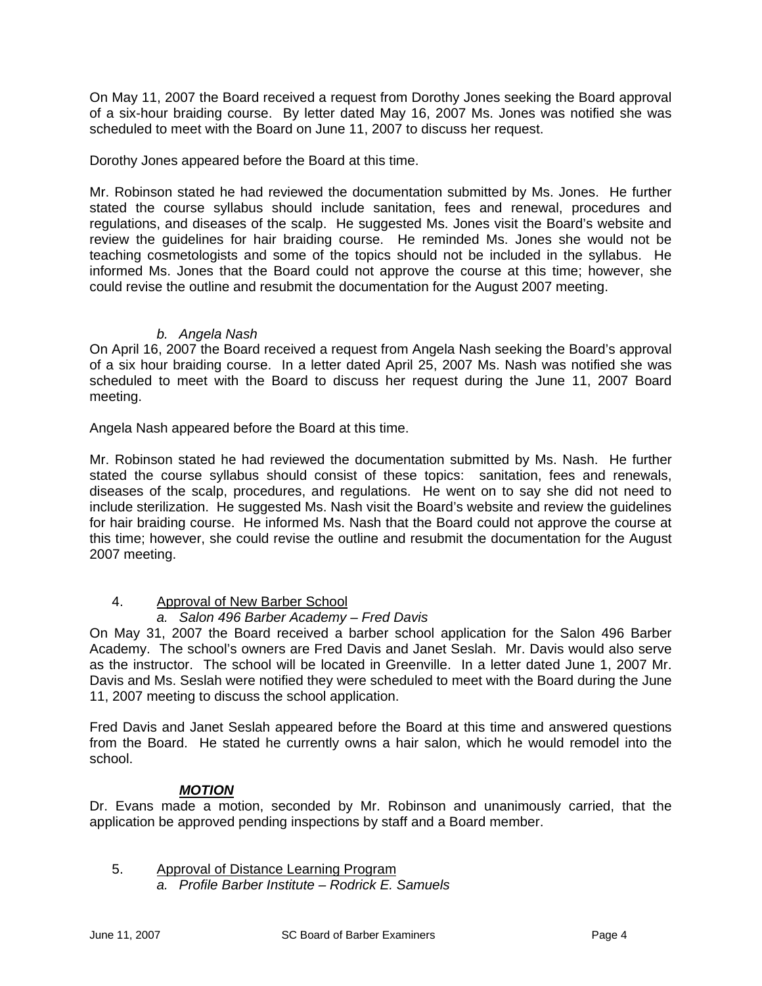On May 11, 2007 the Board received a request from Dorothy Jones seeking the Board approval of a six-hour braiding course. By letter dated May 16, 2007 Ms. Jones was notified she was scheduled to meet with the Board on June 11, 2007 to discuss her request.

Dorothy Jones appeared before the Board at this time.

Mr. Robinson stated he had reviewed the documentation submitted by Ms. Jones. He further stated the course syllabus should include sanitation, fees and renewal, procedures and regulations, and diseases of the scalp. He suggested Ms. Jones visit the Board's website and review the guidelines for hair braiding course. He reminded Ms. Jones she would not be teaching cosmetologists and some of the topics should not be included in the syllabus. He informed Ms. Jones that the Board could not approve the course at this time; however, she could revise the outline and resubmit the documentation for the August 2007 meeting.

## *b. Angela Nash*

On April 16, 2007 the Board received a request from Angela Nash seeking the Board's approval of a six hour braiding course. In a letter dated April 25, 2007 Ms. Nash was notified she was scheduled to meet with the Board to discuss her request during the June 11, 2007 Board meeting.

Angela Nash appeared before the Board at this time.

Mr. Robinson stated he had reviewed the documentation submitted by Ms. Nash. He further stated the course syllabus should consist of these topics: sanitation, fees and renewals, diseases of the scalp, procedures, and regulations. He went on to say she did not need to include sterilization. He suggested Ms. Nash visit the Board's website and review the guidelines for hair braiding course. He informed Ms. Nash that the Board could not approve the course at this time; however, she could revise the outline and resubmit the documentation for the August 2007 meeting.

## 4. Approval of New Barber School

## *a. Salon 496 Barber Academy – Fred Davis*

On May 31, 2007 the Board received a barber school application for the Salon 496 Barber Academy. The school's owners are Fred Davis and Janet Seslah. Mr. Davis would also serve as the instructor. The school will be located in Greenville. In a letter dated June 1, 2007 Mr. Davis and Ms. Seslah were notified they were scheduled to meet with the Board during the June 11, 2007 meeting to discuss the school application.

Fred Davis and Janet Seslah appeared before the Board at this time and answered questions from the Board. He stated he currently owns a hair salon, which he would remodel into the school.

## *MOTION*

Dr. Evans made a motion, seconded by Mr. Robinson and unanimously carried, that the application be approved pending inspections by staff and a Board member.

5. Approval of Distance Learning Program *a. Profile Barber Institute – Rodrick E. Samuels*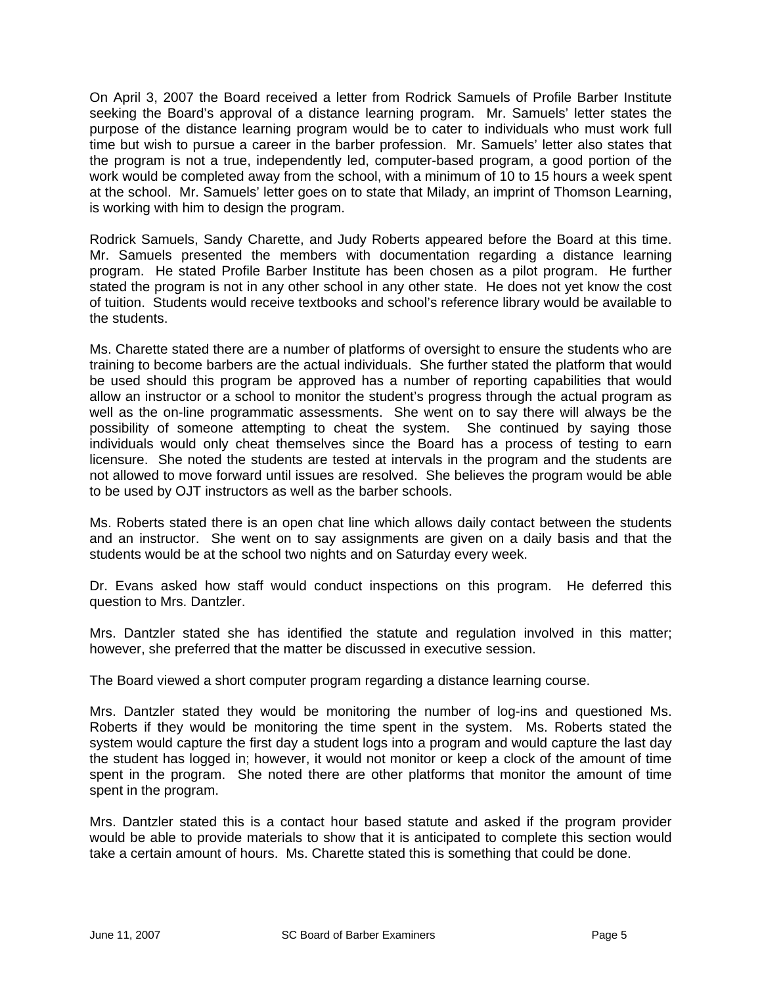On April 3, 2007 the Board received a letter from Rodrick Samuels of Profile Barber Institute seeking the Board's approval of a distance learning program. Mr. Samuels' letter states the purpose of the distance learning program would be to cater to individuals who must work full time but wish to pursue a career in the barber profession. Mr. Samuels' letter also states that the program is not a true, independently led, computer-based program, a good portion of the work would be completed away from the school, with a minimum of 10 to 15 hours a week spent at the school. Mr. Samuels' letter goes on to state that Milady, an imprint of Thomson Learning, is working with him to design the program.

Rodrick Samuels, Sandy Charette, and Judy Roberts appeared before the Board at this time. Mr. Samuels presented the members with documentation regarding a distance learning program. He stated Profile Barber Institute has been chosen as a pilot program. He further stated the program is not in any other school in any other state. He does not yet know the cost of tuition. Students would receive textbooks and school's reference library would be available to the students.

Ms. Charette stated there are a number of platforms of oversight to ensure the students who are training to become barbers are the actual individuals. She further stated the platform that would be used should this program be approved has a number of reporting capabilities that would allow an instructor or a school to monitor the student's progress through the actual program as well as the on-line programmatic assessments. She went on to say there will always be the possibility of someone attempting to cheat the system. She continued by saying those individuals would only cheat themselves since the Board has a process of testing to earn licensure. She noted the students are tested at intervals in the program and the students are not allowed to move forward until issues are resolved. She believes the program would be able to be used by OJT instructors as well as the barber schools.

Ms. Roberts stated there is an open chat line which allows daily contact between the students and an instructor. She went on to say assignments are given on a daily basis and that the students would be at the school two nights and on Saturday every week.

Dr. Evans asked how staff would conduct inspections on this program. He deferred this question to Mrs. Dantzler.

Mrs. Dantzler stated she has identified the statute and regulation involved in this matter; however, she preferred that the matter be discussed in executive session.

The Board viewed a short computer program regarding a distance learning course.

Mrs. Dantzler stated they would be monitoring the number of log-ins and questioned Ms. Roberts if they would be monitoring the time spent in the system. Ms. Roberts stated the system would capture the first day a student logs into a program and would capture the last day the student has logged in; however, it would not monitor or keep a clock of the amount of time spent in the program. She noted there are other platforms that monitor the amount of time spent in the program.

Mrs. Dantzler stated this is a contact hour based statute and asked if the program provider would be able to provide materials to show that it is anticipated to complete this section would take a certain amount of hours. Ms. Charette stated this is something that could be done.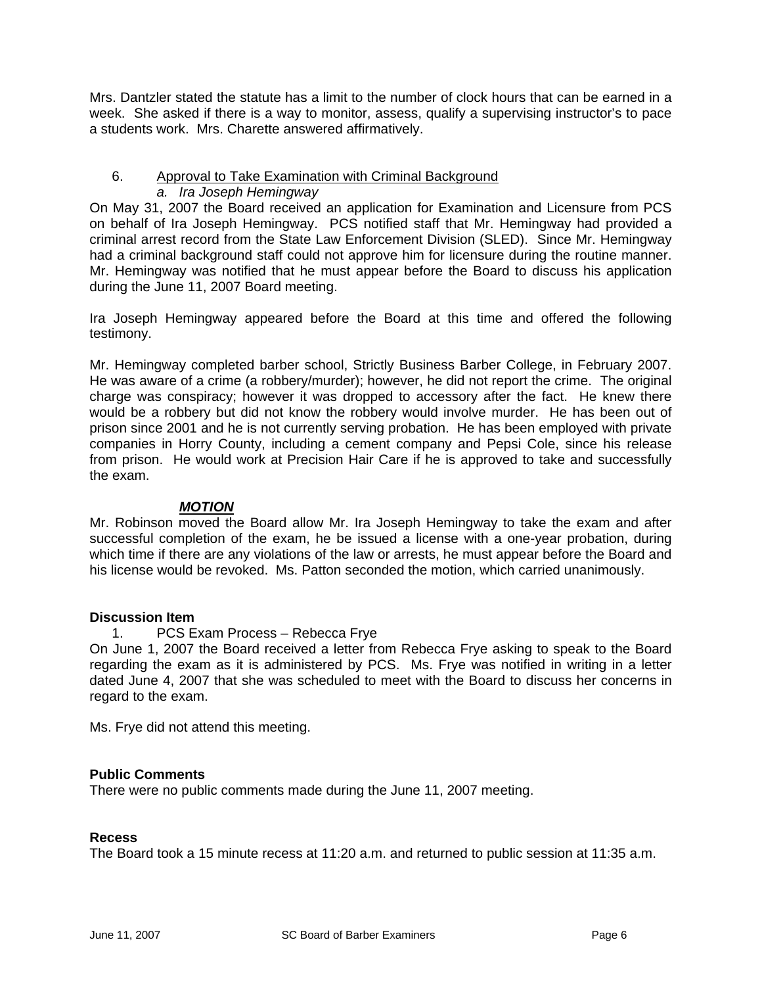Mrs. Dantzler stated the statute has a limit to the number of clock hours that can be earned in a week. She asked if there is a way to monitor, assess, qualify a supervising instructor's to pace a students work. Mrs. Charette answered affirmatively.

#### 6. Approval to Take Examination with Criminal Background *a. Ira Joseph Hemingway*

On May 31, 2007 the Board received an application for Examination and Licensure from PCS on behalf of Ira Joseph Hemingway. PCS notified staff that Mr. Hemingway had provided a criminal arrest record from the State Law Enforcement Division (SLED). Since Mr. Hemingway had a criminal background staff could not approve him for licensure during the routine manner. Mr. Hemingway was notified that he must appear before the Board to discuss his application during the June 11, 2007 Board meeting.

Ira Joseph Hemingway appeared before the Board at this time and offered the following testimony.

Mr. Hemingway completed barber school, Strictly Business Barber College, in February 2007. He was aware of a crime (a robbery/murder); however, he did not report the crime. The original charge was conspiracy; however it was dropped to accessory after the fact. He knew there would be a robbery but did not know the robbery would involve murder. He has been out of prison since 2001 and he is not currently serving probation. He has been employed with private companies in Horry County, including a cement company and Pepsi Cole, since his release from prison. He would work at Precision Hair Care if he is approved to take and successfully the exam.

## *MOTION*

Mr. Robinson moved the Board allow Mr. Ira Joseph Hemingway to take the exam and after successful completion of the exam, he be issued a license with a one-year probation, during which time if there are any violations of the law or arrests, he must appear before the Board and his license would be revoked. Ms. Patton seconded the motion, which carried unanimously.

## **Discussion Item**

## 1. PCS Exam Process – Rebecca Frye

On June 1, 2007 the Board received a letter from Rebecca Frye asking to speak to the Board regarding the exam as it is administered by PCS. Ms. Frye was notified in writing in a letter dated June 4, 2007 that she was scheduled to meet with the Board to discuss her concerns in regard to the exam.

Ms. Frye did not attend this meeting.

## **Public Comments**

There were no public comments made during the June 11, 2007 meeting.

#### **Recess**

The Board took a 15 minute recess at 11:20 a.m. and returned to public session at 11:35 a.m.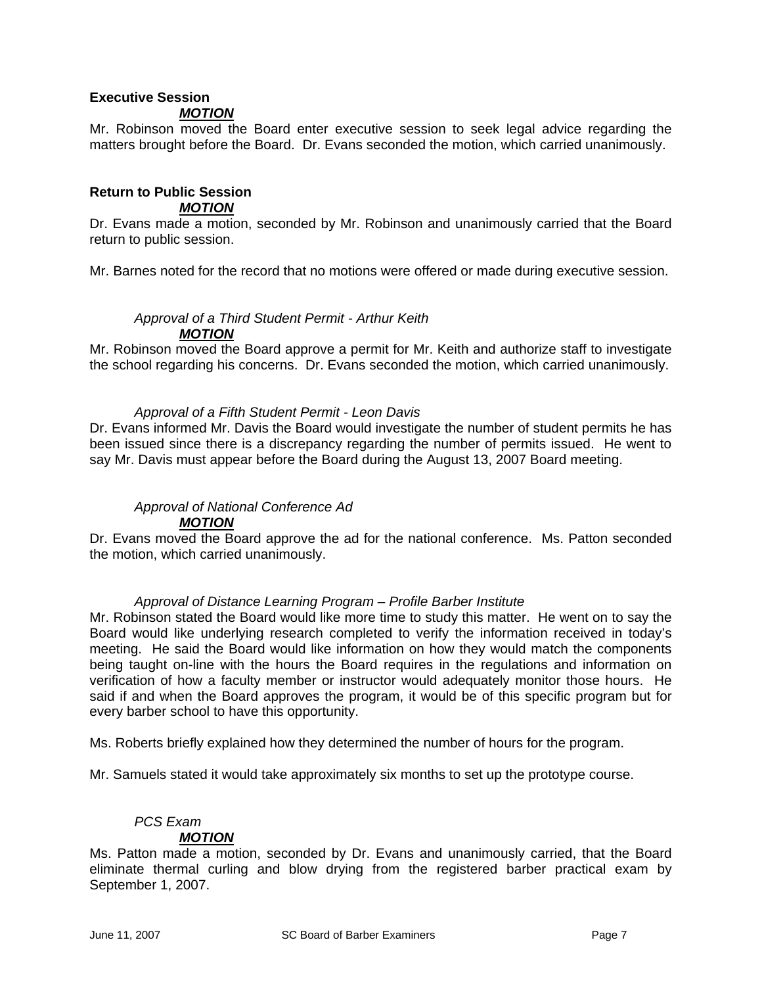# **Executive Session**

## *MOTION*

Mr. Robinson moved the Board enter executive session to seek legal advice regarding the matters brought before the Board. Dr. Evans seconded the motion, which carried unanimously.

#### **Return to Public Session**  *MOTION*

Dr. Evans made a motion, seconded by Mr. Robinson and unanimously carried that the Board return to public session.

Mr. Barnes noted for the record that no motions were offered or made during executive session.

## *Approval of a Third Student Permit - Arthur Keith MOTION*

Mr. Robinson moved the Board approve a permit for Mr. Keith and authorize staff to investigate the school regarding his concerns. Dr. Evans seconded the motion, which carried unanimously.

## *Approval of a Fifth Student Permit - Leon Davis*

Dr. Evans informed Mr. Davis the Board would investigate the number of student permits he has been issued since there is a discrepancy regarding the number of permits issued. He went to say Mr. Davis must appear before the Board during the August 13, 2007 Board meeting.

# *Approval of National Conference Ad*

#### *MOTION*

Dr. Evans moved the Board approve the ad for the national conference. Ms. Patton seconded the motion, which carried unanimously.

#### *Approval of Distance Learning Program – Profile Barber Institute*

Mr. Robinson stated the Board would like more time to study this matter. He went on to say the Board would like underlying research completed to verify the information received in today's meeting. He said the Board would like information on how they would match the components being taught on-line with the hours the Board requires in the regulations and information on verification of how a faculty member or instructor would adequately monitor those hours. He said if and when the Board approves the program, it would be of this specific program but for every barber school to have this opportunity.

Ms. Roberts briefly explained how they determined the number of hours for the program.

Mr. Samuels stated it would take approximately six months to set up the prototype course.

#### *PCS Exam MOTION*

Ms. Patton made a motion, seconded by Dr. Evans and unanimously carried, that the Board eliminate thermal curling and blow drying from the registered barber practical exam by September 1, 2007.